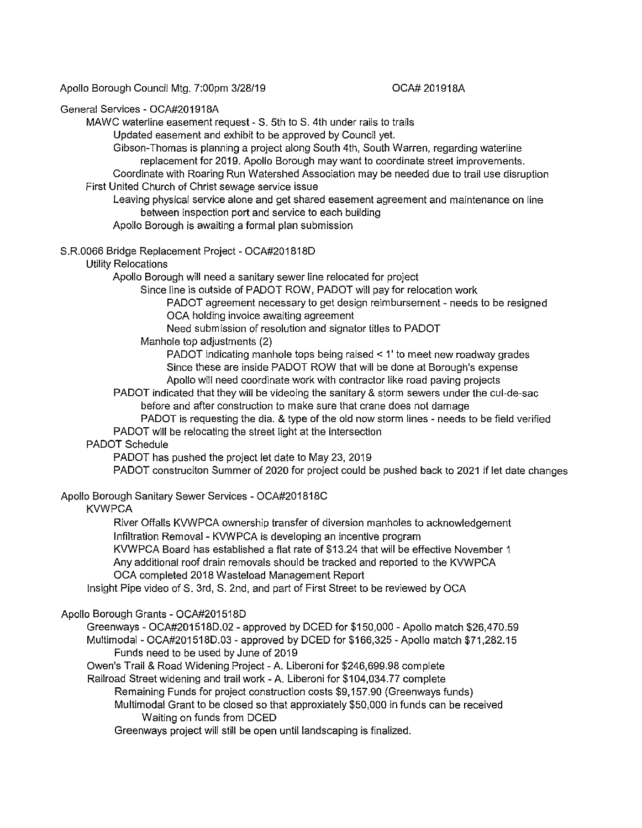Apollo Borough Council Mtg. 7:00pm 3/28/19

## OCA# 201918A

#### General Services - OCA#201918A

MAWC waterline easement request - S. 5th to S. 4th under rails to trails

Updated easement and exhibit to be approved by Council yet.

Gibson-Thomas is planning a project along South 4th, South Warren, regarding waterline replacement for 2019. Apollo Borough may want to coordinate street improvements.

Coordinate with Roaring Run Watershed Association may be needed due to trail use disruption First United Church of Christ sewage service issue

Leaving physical service alone and get shared easement agreement and maintenance on line between inspection port and service to each building

Apollo Borough is awaiting a formal plan submission

#### S.R.0066 Bridge Replacement Project-OCA#201818D

#### Utility Relocations

Apollo Borough will need a sanitary sewer line relocated for project

Since line is outside of PADOT ROW, PADOT will pay for relocation work

PADOT agreement necessary to get design reimbursement - needs to be resigned OCA holding invoice awaiting agreement

Need submission of resolution and signator titles to PADOT

Manhole top adjustments (2)

PADOT indicating manhole tops being raised < 1' to meet new roadway grades Since these are inside PADOT ROW that will be done at Borough's expense Apollo will need coordinate work with contractor like road paving projects

PADOT indicated that they will be videoing the sanitary & storm sewers under the cul-de-sac before and after construction to make sure that crane does not damage

PADOT is requesting the dia. & type of the old now storm lines - needs to be field verified PADOT will be relocating the street light at the intersection

## PADOT Schedule

PADOT has pushed the project let date to May 23, 2019

PADOT construciton Summer of 2020 for project could be pushed back to 2021 if let date changes

# Apollo Borough Sanitary Sewer Services - OCA#201818C

## **KVWPCA**

River Offalls KVWPCA ownership transfer of diversion manholes to acknowledgement Infiltration Removal - KVWPCA is developing an incentive program

KVWPCA Board has established a flat rate of \$13.24 that will be effective November 1 Any additional roof drain removals should be tracked and reported to the KVWPCA

OCA completed 2018 Wasteload Management Report

Insight Pipe video of S. 3rd, S. 2nd, and part of First Street to be reviewed by OCA

## Apollo Borough Grants - OCA#201518D

Greenways - OCA#201518D.02 - approved by DCED for \$150,000 -Apollo match \$26,470.59 Multimodal -OCA#201518D.03 - approved by DCED for \$166,325-Apollo match \$71,282.15 Funds need to be used by June of 2019

Owen's Trail & Road Widening Project -A. Liberoni for \$246,699.98 complete

Railroad Street widening and trail work -A. Liberoni for \$104,034.77 complete

Remaining Funds for project construction costs \$9, 157.90 (Greenways funds)

Multimodal Grant to be closed so that approxiately \$50,000 in funds can be received Waiting on funds from DCED

Greenways project will still be open until landscaping is finalized.